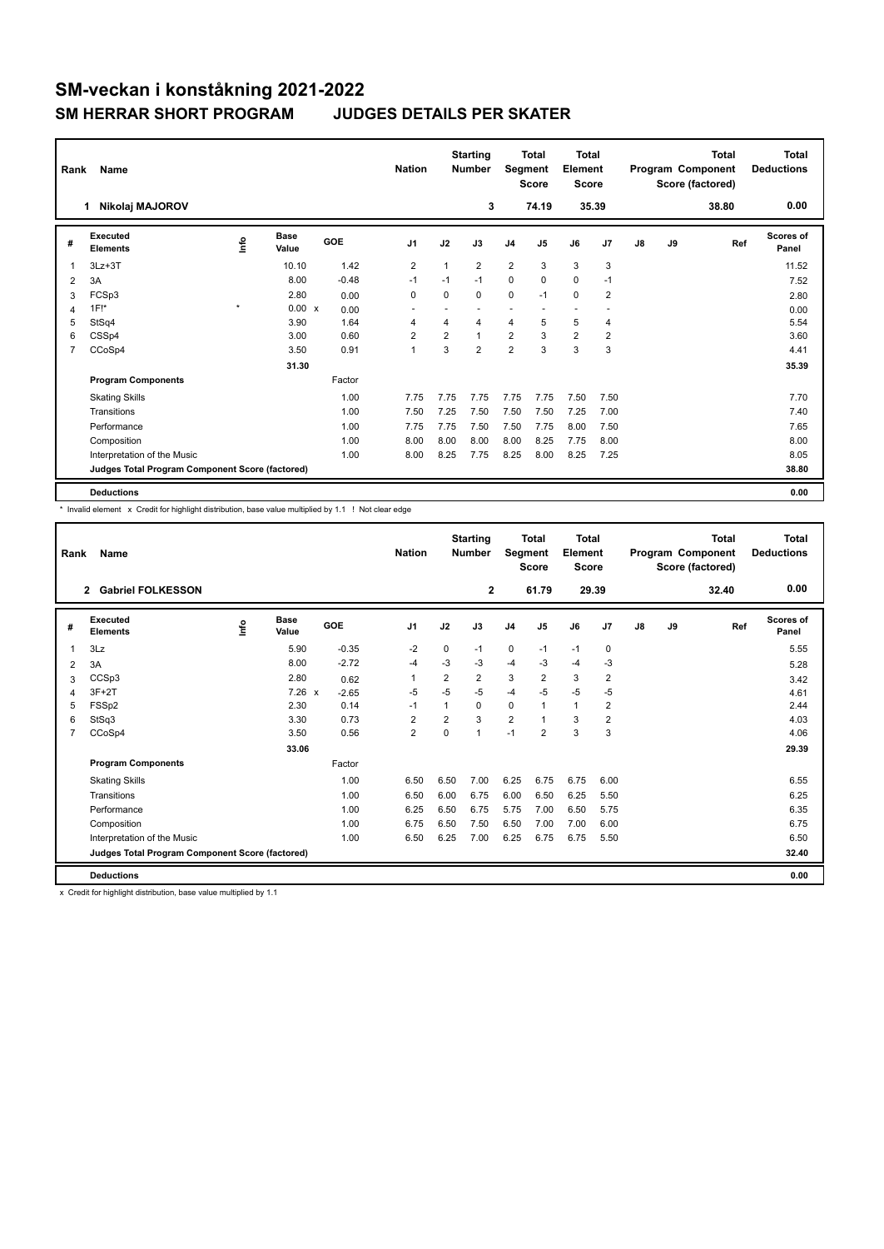## **SM-veckan i konståkning 2021-2022 SM HERRAR SHORT PROGRAM JUDGES DETAILS PER SKATER**

| Rank           | Name                                            |         |                      |         | <b>Nation</b>            |                | <b>Starting</b><br><b>Number</b> | Segment                 | <b>Total</b><br><b>Score</b> | <b>Total</b><br>Element<br><b>Score</b> |                |               |    | <b>Total</b><br>Program Component<br>Score (factored) | <b>Total</b><br><b>Deductions</b> |
|----------------|-------------------------------------------------|---------|----------------------|---------|--------------------------|----------------|----------------------------------|-------------------------|------------------------------|-----------------------------------------|----------------|---------------|----|-------------------------------------------------------|-----------------------------------|
|                | Nikolaj MAJOROV<br>1.                           |         |                      |         |                          |                | 3                                |                         | 74.19                        |                                         | 35.39          |               |    | 38.80                                                 | 0.00                              |
| #              | <b>Executed</b><br><b>Elements</b>              | Info    | <b>Base</b><br>Value | GOE     | J <sub>1</sub>           | J2             | J3                               | J <sub>4</sub>          | J <sub>5</sub>               | J6                                      | J7             | $\mathsf{J}8$ | J9 | Ref                                                   | <b>Scores of</b><br>Panel         |
| 1              | $3Lz + 3T$                                      |         | 10.10                | 1.42    | 2                        | $\overline{1}$ | $\overline{2}$                   | $\overline{2}$          | 3                            | 3                                       | 3              |               |    |                                                       | 11.52                             |
| 2              | 3A                                              |         | 8.00                 | $-0.48$ | $-1$                     | $-1$           | $-1$                             | $\mathbf 0$             | $\Omega$                     | $\mathbf 0$                             | $-1$           |               |    |                                                       | 7.52                              |
| 3              | FCSp3                                           |         | 2.80                 | 0.00    | 0                        | 0              | $\mathbf 0$                      | $\mathbf 0$             | $-1$                         | $\mathbf 0$                             | $\overline{2}$ |               |    |                                                       | 2.80                              |
| 4              | $1F!^*$                                         | $\star$ | 0.00 x               | 0.00    | $\overline{\phantom{a}}$ |                | $\overline{\phantom{a}}$         |                         |                              | $\overline{\phantom{a}}$                |                |               |    |                                                       | 0.00                              |
| 5              | StSq4                                           |         | 3.90                 | 1.64    | 4                        | 4              | $\overline{4}$                   | $\overline{4}$          | 5                            | 5                                       | 4              |               |    |                                                       | 5.54                              |
| 6              | CSSp4                                           |         | 3.00                 | 0.60    | $\overline{2}$           | $\overline{2}$ | $\mathbf{1}$                     | $\overline{2}$          | 3                            | $\overline{2}$                          | $\overline{2}$ |               |    |                                                       | 3.60                              |
| $\overline{7}$ | CCoSp4                                          |         | 3.50                 | 0.91    | 1                        | 3              | $\overline{2}$                   | $\overline{\mathbf{c}}$ | 3                            | 3                                       | 3              |               |    |                                                       | 4.41                              |
|                |                                                 |         | 31.30                |         |                          |                |                                  |                         |                              |                                         |                |               |    |                                                       | 35.39                             |
|                | <b>Program Components</b>                       |         |                      | Factor  |                          |                |                                  |                         |                              |                                         |                |               |    |                                                       |                                   |
|                | <b>Skating Skills</b>                           |         |                      | 1.00    | 7.75                     | 7.75           | 7.75                             | 7.75                    | 7.75                         | 7.50                                    | 7.50           |               |    |                                                       | 7.70                              |
|                | Transitions                                     |         |                      | 1.00    | 7.50                     | 7.25           | 7.50                             | 7.50                    | 7.50                         | 7.25                                    | 7.00           |               |    |                                                       | 7.40                              |
|                | Performance                                     |         |                      | 1.00    | 7.75                     | 7.75           | 7.50                             | 7.50                    | 7.75                         | 8.00                                    | 7.50           |               |    |                                                       | 7.65                              |
|                | Composition                                     |         |                      | 1.00    | 8.00                     | 8.00           | 8.00                             | 8.00                    | 8.25                         | 7.75                                    | 8.00           |               |    |                                                       | 8.00                              |
|                | Interpretation of the Music                     |         |                      | 1.00    | 8.00                     | 8.25           | 7.75                             | 8.25                    | 8.00                         | 8.25                                    | 7.25           |               |    |                                                       | 8.05                              |
|                | Judges Total Program Component Score (factored) |         |                      |         |                          |                |                                  |                         |                              |                                         |                |               |    |                                                       | 38.80                             |
|                | <b>Deductions</b>                               |         |                      |         |                          |                |                                  |                         |                              |                                         |                |               |    |                                                       | 0.00                              |

\* Invalid element x Credit for highlight distribution, base value multiplied by 1.1 ! Not clear edge

| Rank | Name                                            |      |                      |                         | <b>Nation</b>  |                | <b>Starting</b><br><b>Number</b> | Segment        | Total<br><b>Score</b> | Total<br>Element<br><b>Score</b> |                |    |    | Total<br>Program Component<br>Score (factored) | <b>Total</b><br><b>Deductions</b> |
|------|-------------------------------------------------|------|----------------------|-------------------------|----------------|----------------|----------------------------------|----------------|-----------------------|----------------------------------|----------------|----|----|------------------------------------------------|-----------------------------------|
|      | <b>Gabriel FOLKESSON</b><br>$\overline{2}$      |      |                      |                         |                |                | $\overline{2}$                   |                | 61.79                 | 29.39                            |                |    |    | 32.40                                          | 0.00                              |
| #    | Executed<br><b>Elements</b>                     | ١nf٥ | <b>Base</b><br>Value | GOE                     | J <sub>1</sub> | J2             | J3                               | J <sub>4</sub> | J <sub>5</sub>        | J6                               | J7             | J8 | J9 | Ref                                            | <b>Scores of</b><br>Panel         |
|      | 3Lz                                             |      | 5.90                 | $-0.35$                 | $-2$           | 0              | $-1$                             | $\mathbf 0$    | $-1$                  | $-1$                             | 0              |    |    |                                                | 5.55                              |
| 2    | 3A                                              |      | 8.00                 | $-2.72$                 | $-4$           | $-3$           | $-3$                             | $-4$           | $-3$                  | $-4$                             | -3             |    |    |                                                | 5.28                              |
| 3    | CCSp3                                           |      | 2.80                 | 0.62                    | 1              | $\overline{2}$ | $\overline{2}$                   | 3              | $\overline{2}$        | 3                                | 2              |    |    |                                                | 3.42                              |
| 4    | $3F+2T$                                         |      | 7.26                 | $\mathbf{x}$<br>$-2.65$ | $-5$           | $-5$           | $-5$                             | $-4$           | $-5$                  | $-5$                             | $-5$           |    |    |                                                | 4.61                              |
| 5    | FSSp2                                           |      | 2.30                 | 0.14                    | $-1$           | 1              | 0                                | $\mathbf 0$    | 1                     | $\mathbf{1}$                     | $\overline{2}$ |    |    |                                                | 2.44                              |
| 6    | StSq3                                           |      | 3.30                 | 0.73                    | $\overline{2}$ | $\overline{2}$ | 3                                | $\overline{2}$ |                       | 3                                | $\overline{2}$ |    |    |                                                | 4.03                              |
| 7    | CCoSp4                                          |      | 3.50                 | 0.56                    | $\overline{2}$ | $\Omega$       | 1                                | $-1$           | $\overline{2}$        | 3                                | 3              |    |    |                                                | 4.06                              |
|      |                                                 |      | 33.06                |                         |                |                |                                  |                |                       |                                  |                |    |    |                                                | 29.39                             |
|      | <b>Program Components</b>                       |      |                      | Factor                  |                |                |                                  |                |                       |                                  |                |    |    |                                                |                                   |
|      | <b>Skating Skills</b>                           |      |                      | 1.00                    | 6.50           | 6.50           | 7.00                             | 6.25           | 6.75                  | 6.75                             | 6.00           |    |    |                                                | 6.55                              |
|      | Transitions                                     |      |                      | 1.00                    | 6.50           | 6.00           | 6.75                             | 6.00           | 6.50                  | 6.25                             | 5.50           |    |    |                                                | 6.25                              |
|      | Performance                                     |      |                      | 1.00                    | 6.25           | 6.50           | 6.75                             | 5.75           | 7.00                  | 6.50                             | 5.75           |    |    |                                                | 6.35                              |
|      | Composition                                     |      |                      | 1.00                    | 6.75           | 6.50           | 7.50                             | 6.50           | 7.00                  | 7.00                             | 6.00           |    |    |                                                | 6.75                              |
|      | Interpretation of the Music                     |      |                      | 1.00                    | 6.50           | 6.25           | 7.00                             | 6.25           | 6.75                  | 6.75                             | 5.50           |    |    |                                                | 6.50                              |
|      | Judges Total Program Component Score (factored) |      |                      |                         |                |                |                                  |                |                       |                                  |                |    |    |                                                | 32.40                             |
|      | <b>Deductions</b>                               |      |                      |                         |                |                |                                  |                |                       |                                  |                |    |    |                                                | 0.00                              |

x Credit for highlight distribution, base value multiplied by 1.1